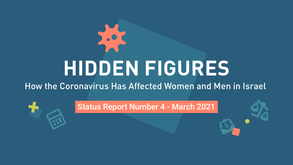# virus **HIDDEN FIGURES** How the Coronavirus Has Affected Women and Men in Israel

# Status Report Number 4 - March 2021



dollar-open-envelope

right-scale-balance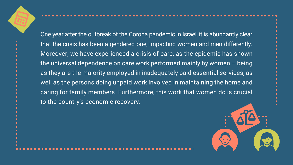One year after the outbreak of the Corona pandemic in Israel, it is abundantly clear that the crisis has been a gendered one, impacting women and men differently. Moreover, we have experienced a crisis of care, as the epidemic has shown the universal dependence on care work performed mainly by women  $-$  being as they are the majority employed in inadequately paid essential services, as well as the persons doing unpaid work involved in maintaining the home and caring for family members. Furthermore, this work that women do is crucial to the country's economic recovery.

calculator

right-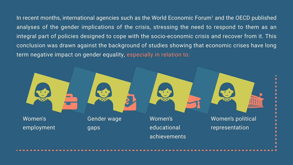Women's educational achievements Women's political representation



In recent months, international agencies such as the World Economic Forum<sup>1</sup> and the OECD published analyses of the gender implications of the crisis, stressing the need to respond to them as an integral part of policies designed to cope with the socio-economic crisis and recover from it. This conclusion was drawn against the background of studies showing that economic crises have long term negative impact on gender equality, especially in relation to:



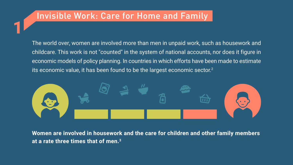# Invisible Work: Care for Home and Family

**1**

The world over, women are involved more than men in unpaid work, such as housework and childcare. This work is not "counted" in the system of national accounts, nor does it figure in economic models of policy planning. In countries in which efforts have been made to estimate its economic value, it has been found to be the largest economic sector. $^2$ 



**Women are involved in housework and the care for children and other family members** at a rate three times that of men.<sup>3</sup>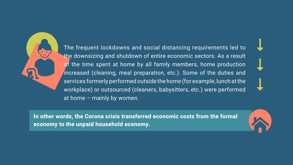

The frequent lockdowns and social distancing requirements led to the downsizing and shutdown of entire economic sectors. As a result of the time spent at home by all family members, home production increased (cleaning, meal preparation, etc.). Some of the duties and services formerly performed outside the home (for example, lunch at the workplace) or outsourced (cleaners, babysitters, etc.) were performed at home  $-$  mainly by women.

In other words, the Corona crisis transferred economic costs from the formal economy to the unpaid household economy.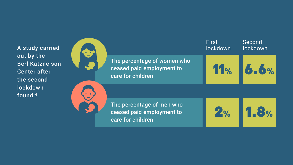A study carried<br>out by the<br>Berl Katznelson out by the **Berl Katznelson Center after** the second lockdown found:<sup>4</sup>



care for children

The percentage of men who ceased paid employment to care for children

**2**

**1.8 % %**



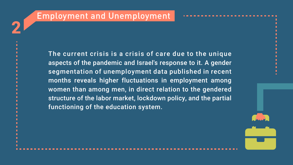# Employment and Unemployment

**2**

The current crisis is a crisis of care due to the unique aspects of the pandemic and Israel's response to it. A gender segmentation of unemployment data published in recent months reveals higher fluctuations in employment among women than among men, in direct relation to the gendered structure of the labor market, lockdown policy, and the partial functioning of the education system.

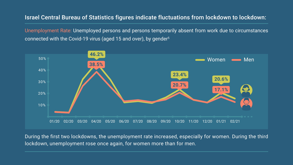### Israel Central Bureau of Statistics figures indicate fluctuations from lockdown to lockdown:

Unemployment Rate: Unemployed persons and persons temporarily absent from work due to circumstances connected with the Covid-19 virus (aged 15 and over), by gender<sup>5</sup>



During the first two lockdowns, the unemployment rate increased, especially for women. During the third lockdown, unemployment rose once again, for women more than for men.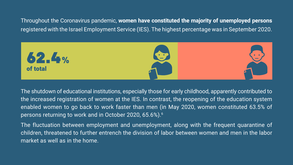Throughout the Coronavirus pandemic, women have constituted the majority of unemployed persons registered with the Israel Employment Service (IES). The highest percentage was in September 2020.



The shutdown of educational institutions, especially those for early childhood, apparently contributed to the increased registration of women at the IES. In contrast, the reopening of the education system enabled women to go back to work faster than men (in May 2020, women constituted 63.5% of persons returning to work and in October 2020, 65.6%).<sup>6</sup>

The fluctuation between employment and unemployment, along with the frequent quarantine of children, threatened to further entrench the division of labor between women and men in the labor market as well as in the home.

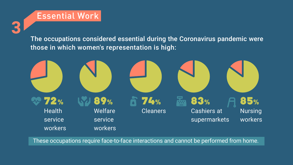# Essential Work

**3**

### The occupations considered essential during the Coronavirus pandemic were those in which women's representation is high:



#### These occupations require face-to-face interactions and cannot be performed from home.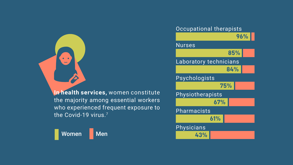

### In health services, women constitute the majority among essential workers who experienced frequent exposure to the Covid-19 virus.<sup>7</sup>



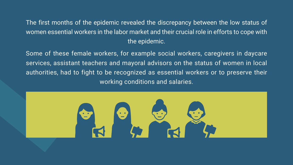- The first months of the epidemic revealed the discrepancy between the low status of women essential workers in the labor market and their crucial role in efforts to cope with the epidemic.
- Some of these female workers, for example social workers, caregivers in daycare services, assistant teachers and mayoral advisors on the status of women in local authorities, had to fight to be recognized as essential workers or to preserve their working conditions and salaries.

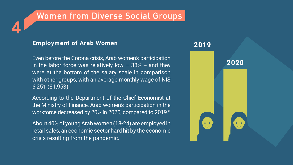# Women from Diverse Social Groups

### **Employment of Arab Women Women 2019**

**4**

Even before the Corona crisis, Arab women's participation in the labor force was relatively low  $-$  38% -- and they were at the bottom of the salary scale in comparison with other groups, with an average monthly wage of NIS 6,251 (\$1,953).

According to the Department of the Chief Economist at the Ministry of Finance, Arab women's participation in the workforce decreased by 20% in 2020, compared to 2019.8

About 40% of young Arab women (18-24) are employed in retail sales, an economic sector hard hit by the economic crisis resulting from the pandemic.



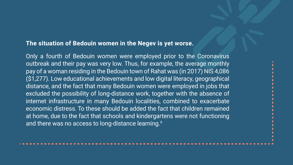### The situation of Bedouin women in the Negev is yet worse.

Only a fourth of Bedouin women were employed prior to the Coronavirus outbreak and their pay was very low. Thus, for example, the average monthly pay of a woman residing in the Bedouin town of Rahat was (in 2017) NIS 4,086 (\$1,277). Low educational achievements and low digital literacy, geographical distance, and the fact that many Bedouin women were employed in jobs that excluded the possibility of long-distance work, together with the absence of internet infrastructure in many Bedouin localities, combined to exacerbate economic distress. To these should be added the fact that children remained at home, due to the fact that schools and kindergartens were not functioning and there was no access to long-distance learning.<sup>9</sup>

#### 

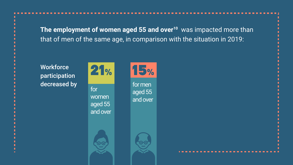The employment of women aged 55 and over<sup>10</sup> was impacted more than that of men of the same age, in comparison with the situation in 2019:

# **Workforce participation** decreased by for

 women aged 55 and over









for men aged 55 and over

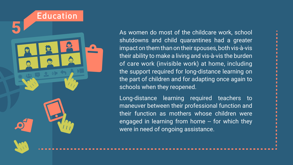

As women do most of the childcare work, school shutdowns and child quarantines had a greater impact on them than on their spouses, both vis-à-vis their ability to make a living and vis-à-vis the burden of care work (invisible work) at home, including the support required for long-distance learning on the part of children and for adapting once again to schools when they reopened. Long-distance learning required teachers to maneuver between their professional function and

their function as mothers whose children were engaged in learning from home -- for which they were in need of ongoing assistance.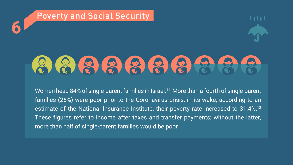# **6** Poverty and Social Security



Women head 84% of single-parent families in Israel.<sup>11</sup> More than a fourth of single-parent families (26%) were poor prior to the Coronavirus crisis; in its wake, according to an estimate of the National Insurance Institute, their poverty rate increased to 31.4%.<sup>12</sup> These figures refer to income after taxes and transfer payments; without the latter, more than half of single-parent families would be poor.

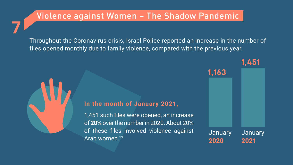# Violence against Women - The Shadow Pandemic

Throughout the Coronavirus crisis, Israel Police reported an increase in the number of files opened monthly due to family violence, compared with the previous year.



**7**

#### In the month of January 2021,

1,451 such files were opened, an increase of 20% over the number in 2020. About 20% of these files involved violence against Arab women.<sup>13</sup>

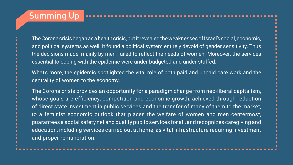# **Summing Up**

The Corona crisis began as a health crisis, but it revealed the weaknesses of Israel's social, economic, and political systems as well. It found a political system entirely devoid of gender sensitivity. Thus the decisions made, mainly by men, failed to reflect the needs of women. Moreover, the services essential to coping with the epidemic were under-budgeted and under-staffed.

What's more, the epidemic spotlighted the vital role of both paid and unpaid care work and the centrality of women to the economy.

The Corona crisis provides an opportunity for a paradigm change from neo-liberal capitalism, whose goals are efficiency, competition and economic growth, achieved through reduction of direct state investment in public services and the transfer of many of them to the market, to a feminist economic outlook that places the welfare of women and men centermost, guarantees a social safety net and quality public services for all, and recognizes caregiving and education, including services carried out at home, as vital infrastructure requiring investment and proper remuneration.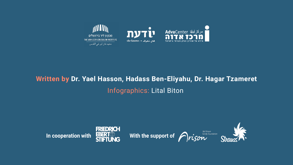

# Written by Dr. Yael Hasson, Hadass Ben-Eliyahu, Dr. Hagar Tzameret Infographics: Lital Biton